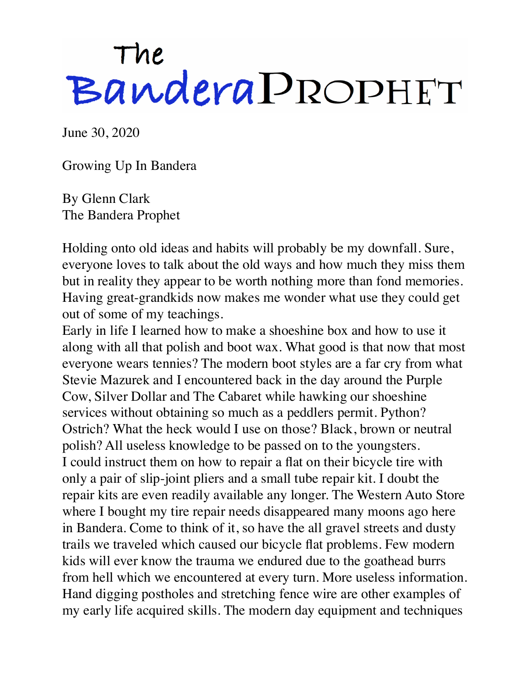## The<br>Bandera PROPHET

June 30, 2020

Growing Up In Bandera

By Glenn Clark The Bandera Prophet

Holding onto old ideas and habits will probably be my downfall. Sure, everyone loves to talk about the old ways and how much they miss them but in reality they appear to be worth nothing more than fond memories. Having great-grandkids now makes me wonder what use they could get out of some of my teachings.

Early in life I learned how to make a shoeshine box and how to use it along with all that polish and boot wax. What good is that now that most everyone wears tennies? The modern boot styles are a far cry from what Stevie Mazurek and I encountered back in the day around the Purple Cow, Silver Dollar and The Cabaret while hawking our shoeshine services without obtaining so much as a peddlers permit. Python? Ostrich? What the heck would I use on those? Black, brown or neutral polish? All useless knowledge to be passed on to the youngsters. I could instruct them on how to repair a flat on their bicycle tire with only a pair of slip-joint pliers and a small tube repair kit. I doubt the repair kits are even readily available any longer. The Western Auto Store where I bought my tire repair needs disappeared many moons ago here in Bandera. Come to think of it, so have the all gravel streets and dusty trails we traveled which caused our bicycle flat problems. Few modern kids will ever know the trauma we endured due to the goathead burrs from hell which we encountered at every turn. More useless information. Hand digging postholes and stretching fence wire are other examples of my early life acquired skills. The modern day equipment and techniques